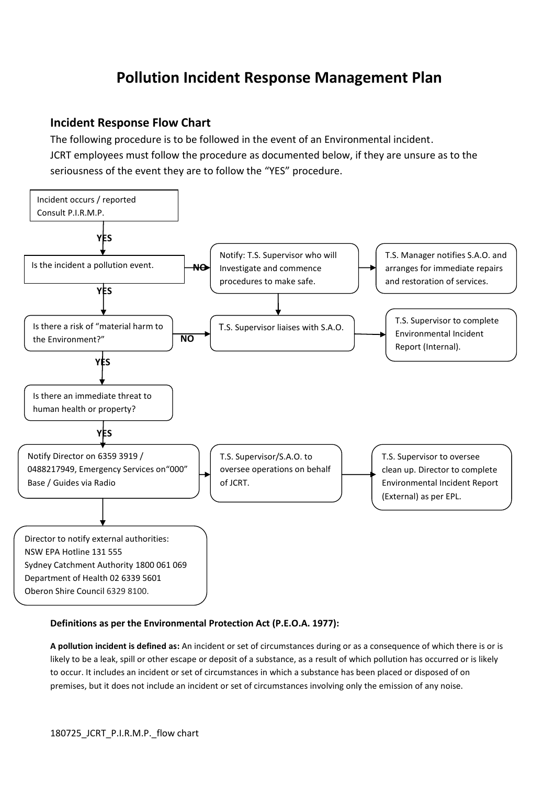## **Pollution Incident Response Management Plan**

## **Incident Response Flow Chart**

The following procedure is to be followed in the event of an Environmental incident. JCRT employees must follow the procedure as documented below, if they are unsure as to the seriousness of the event they are to follow the "YES" procedure.



## **Definitions as per the Environmental Protection Act (P.E.O.A. 1977):**

**A pollution incident is defined as:** An incident or set of circumstances during or as a consequence of which there is or is likely to be a leak, spill or other escape or deposit of a substance, as a result of which pollution has occurred or is likely to occur. It includes an incident or set of circumstances in which a substance has been placed or disposed of on premises, but it does not include an incident or set of circumstances involving only the emission of any noise.